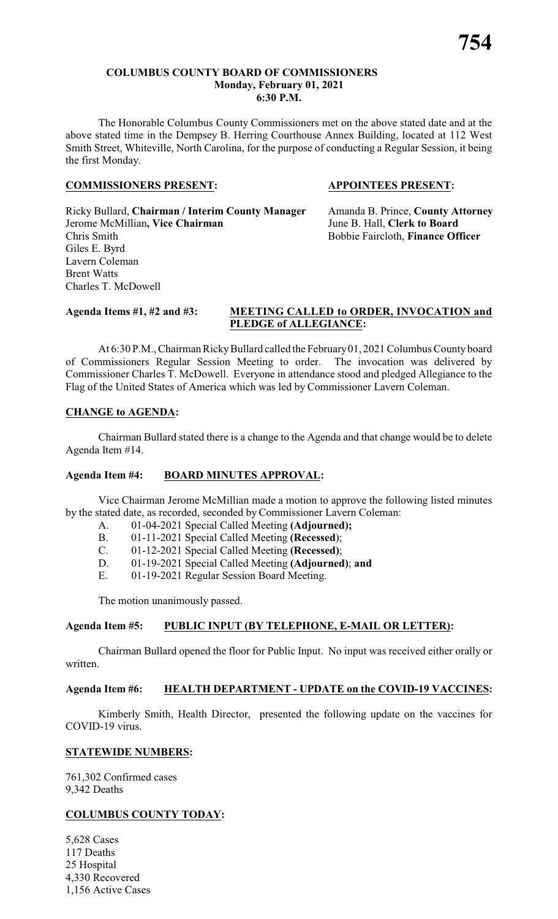#### **COLUMBUS COUNTY BOARD OF COMMISSIONERS Monday, February 01, 2021 6:30 P.M.**

The Honorable Columbus County Commissioners met on the above stated date and at the above stated time in the Dempsey B. Herring Courthouse Annex Building, located at 112 West Smith Street, Whiteville, North Carolina, for the purpose of conducting a Regular Session, it being the first Monday.

#### **COMMISSIONERS PRESENT: APPOINTEES PRESENT:**

#### Ricky Bullard, **Chairman / Interim County Manager** Amanda B. Prince, **County Attorney** Jerome McMillian**, Vice Chairman** June B. Hall, **Clerk to Board** Chris Smith Bobbie Faircloth, **Finance Officer** Giles E. Byrd Lavern Coleman Brent Watts Charles T. McDowell

#### **Agenda Items #1, #2 and #3: MEETING CALLED to ORDER, INVOCATION and PLEDGE of ALLEGIANCE:**

At 6:30 P.M., Chairman Ricky Bullard called the February 01, 2021 Columbus County board of Commissioners Regular Session Meeting to order. The invocation was delivered by Commissioner Charles T. McDowell. Everyone in attendance stood and pledged Allegiance to the Flag of the United States of America which was led by Commissioner Lavern Coleman.

### **CHANGE to AGENDA:**

Chairman Bullard stated there is a change to the Agenda and that change would be to delete Agenda Item #14.

#### **Agenda Item #4: BOARD MINUTES APPROVAL:**

Vice Chairman Jerome McMillian made a motion to approve the following listed minutes by the stated date, as recorded, seconded by Commissioner Lavern Coleman:

- A. 01-04-2021 Special Called Meeting **(Adjourned);**
- B. 01-11-2021 Special Called Meeting **(Recessed**);
- C. 01-12-2021 Special Called Meeting **(Recessed)**;
- D. 01-19-2021 Special Called Meeting **(Adjourned)**; **and**
- E. 01-19-2021 Regular Session Board Meeting.

The motion unanimously passed.

### **Agenda Item #5: PUBLIC INPUT (BY TELEPHONE, E-MAIL OR LETTER):**

Chairman Bullard opened the floor for Public Input. No input was received either orally or written.

#### **Agenda Item #6: HEALTH DEPARTMENT - UPDATE on the COVID-19 VACCINES:**

Kimberly Smith, Health Director, presented the following update on the vaccines for COVID-19 virus.

### **STATEWIDE NUMBERS:**

761,302 Confirmed cases 9,342 Deaths

### **COLUMBUS COUNTY TODAY:**

5,628 Cases 117 Deaths 25 Hospital 4,330 Recovered 1,156 Active Cases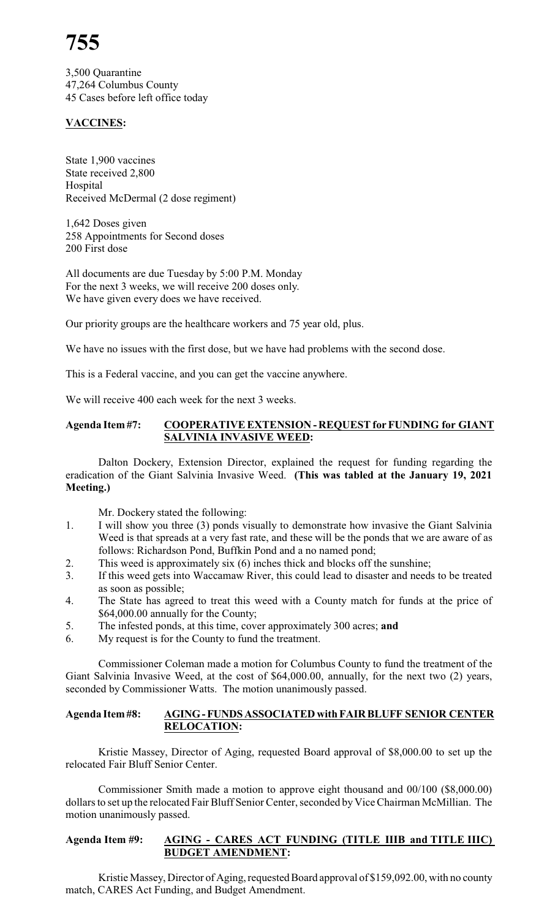## **755**

3,500 Quarantine 47,264 Columbus County 45 Cases before left office today

### **VACCINES:**

State 1,900 vaccines State received 2,800 Hospital Received McDermal (2 dose regiment)

1,642 Doses given 258 Appointments for Second doses 200 First dose

All documents are due Tuesday by 5:00 P.M. Monday For the next 3 weeks, we will receive 200 doses only. We have given every does we have received.

Our priority groups are the healthcare workers and 75 year old, plus.

We have no issues with the first dose, but we have had problems with the second dose.

This is a Federal vaccine, and you can get the vaccine anywhere.

We will receive 400 each week for the next 3 weeks.

#### **Agenda Item #7: COOPERATIVE EXTENSION - REQUEST for FUNDING for GIANT SALVINIA INVASIVE WEED:**

Dalton Dockery, Extension Director, explained the request for funding regarding the eradication of the Giant Salvinia Invasive Weed. **(This was tabled at the January 19, 2021 Meeting.)**

Mr. Dockery stated the following:

- 1. I will show you three (3) ponds visually to demonstrate how invasive the Giant Salvinia Weed is that spreads at a very fast rate, and these will be the ponds that we are aware of as follows: Richardson Pond, Buffkin Pond and a no named pond;
- 2. This weed is approximately six (6) inches thick and blocks off the sunshine;
- 3. If this weed gets into Waccamaw River, this could lead to disaster and needs to be treated as soon as possible;
- 4. The State has agreed to treat this weed with a County match for funds at the price of \$64,000.00 annually for the County;
- 5. The infested ponds, at this time, cover approximately 300 acres; **and**
- 6. My request is for the County to fund the treatment.

Commissioner Coleman made a motion for Columbus County to fund the treatment of the Giant Salvinia Invasive Weed, at the cost of \$64,000.00, annually, for the next two (2) years, seconded by Commissioner Watts. The motion unanimously passed.

#### **Agenda Item#8: AGING-FUNDSASSOCIATED with FAIRBLUFF SENIOR CENTER RELOCATION:**

Kristie Massey, Director of Aging, requested Board approval of \$8,000.00 to set up the relocated Fair Bluff Senior Center.

Commissioner Smith made a motion to approve eight thousand and 00/100 (\$8,000.00) dollars to set up the relocated Fair Bluff Senior Center, seconded by Vice Chairman McMillian. The motion unanimously passed.

#### **Agenda Item #9: AGING - CARES ACT FUNDING (TITLE IIIB and TITLE IIIC) BUDGET AMENDMENT:**

Kristie Massey, Director of Aging, requested Board approval of \$159,092.00, with no county match, CARES Act Funding, and Budget Amendment.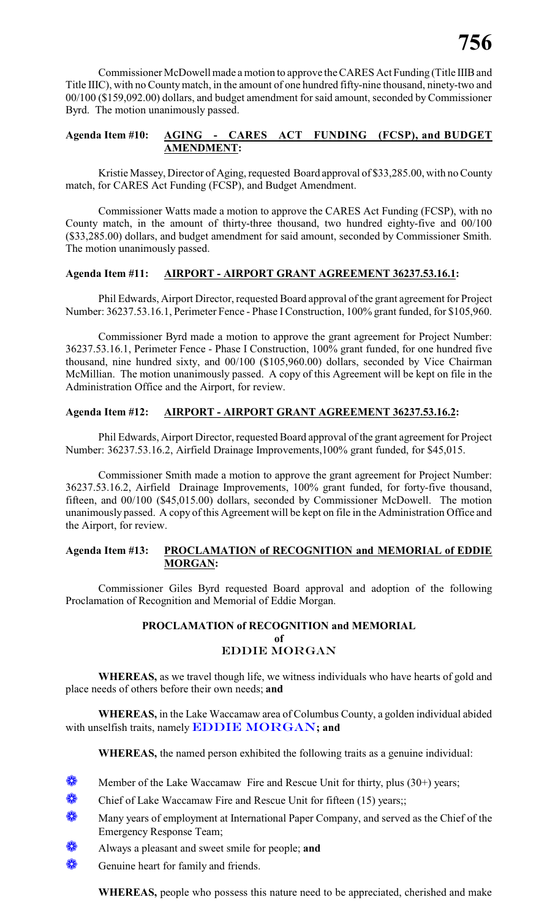Commissioner McDowell made a motion to approve the CARES Act Funding (Title IIIBand Title IIIC), with no Countymatch, in the amount of one hundred fifty-nine thousand, ninety-two and 00/100 (\$159,092.00) dollars, and budget amendment for said amount, seconded by Commissioner Byrd. The motion unanimously passed.

#### **Agenda Item #10: AGING - CARES ACT FUNDING (FCSP), and BUDGET AMENDMENT:**

Kristie Massey, Director of Aging, requested Board approval of \$33,285.00, with no County match, for CARES Act Funding (FCSP), and Budget Amendment.

Commissioner Watts made a motion to approve the CARES Act Funding (FCSP), with no County match, in the amount of thirty-three thousand, two hundred eighty-five and 00/100 (\$33,285.00) dollars, and budget amendment for said amount, seconded by Commissioner Smith. The motion unanimously passed.

#### **Agenda Item #11: AIRPORT - AIRPORT GRANT AGREEMENT 36237.53.16.1:**

Phil Edwards, Airport Director, requested Board approval of the grant agreement for Project Number: 36237.53.16.1, Perimeter Fence - Phase IConstruction, 100% grant funded, for \$105,960.

Commissioner Byrd made a motion to approve the grant agreement for Project Number: 36237.53.16.1, Perimeter Fence - Phase I Construction, 100% grant funded, for one hundred five thousand, nine hundred sixty, and 00/100 (\$105,960.00) dollars, seconded by Vice Chairman McMillian. The motion unanimously passed. A copy of this Agreement will be kept on file in the Administration Office and the Airport, for review.

#### **Agenda Item #12: AIRPORT - AIRPORT GRANT AGREEMENT 36237.53.16.2:**

Phil Edwards, Airport Director, requested Board approval of the grant agreement for Project Number: 36237.53.16.2, Airfield Drainage Improvements,100% grant funded, for \$45,015.

Commissioner Smith made a motion to approve the grant agreement for Project Number: 36237.53.16.2, Airfield Drainage Improvements, 100% grant funded, for forty-five thousand, fifteen, and 00/100 (\$45,015.00) dollars, seconded by Commissioner McDowell. The motion unanimously passed. A copy of this Agreement will be kept on file in the Administration Office and the Airport, for review.

#### **Agenda Item #13: PROCLAMATION of RECOGNITION and MEMORIAL of EDDIE MORGAN:**

Commissioner Giles Byrd requested Board approval and adoption of the following Proclamation of Recognition and Memorial of Eddie Morgan.

#### **PROCLAMATION of RECOGNITION and MEMORIAL of** *EDDIE MORGAN*

**WHEREAS,** as we travel though life, we witness individuals who have hearts of gold and place needs of others before their own needs; **and**

**WHEREAS,** in the Lake Waccamaw area of Columbus County, a golden individual abided with unselfish traits, namely *EDDIE MORGAN***; and**

**WHEREAS,** the named person exhibited the following traits as a genuine individual:

- **Member of the Lake Waccamaw Fire and Rescue Unit for thirty, plus (30+) years;**
- Chief of Lake Waccamaw Fire and Rescue Unit for fifteen  $(15)$  years;;
- **Wany years of employment at International Paper Company, and served as the Chief of the** Emergency Response Team;
- Always a pleasant and sweet smile for people; **and**
- Genuine heart for family and friends.

**WHEREAS,** people who possess this nature need to be appreciated, cherished and make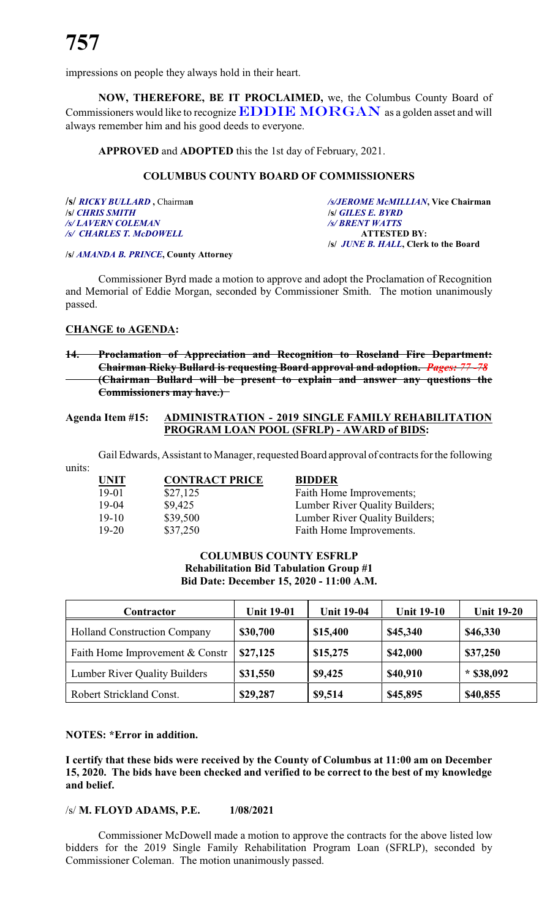impressions on people they always hold in their heart.

**NOW, THEREFORE, BE IT PROCLAIMED,** we, the Columbus County Board of Commissioners would like to recognize *EDDIE MORGAN* as a golden asset and will always remember him and his good deeds to everyone.

**APPROVED** and **ADOPTED** this the 1st day of February, 2021.

#### **COLUMBUS COUNTY BOARD OF COMMISSIONERS**

| /s/ RICKY BULLARD, Chairman  |  |
|------------------------------|--|
| <b><i>SI CHRIS SMITH</i></b> |  |
| /s/ LAVERN COLEMAN           |  |
| /s/ CHARLES T. McDOWELL      |  |

**/s/** *RICKY BULLARD* **,** Chairma**n** */s/JEROME McMILLIAN***, Vice Chairman /s/** *CHRIS SMITH* **/s/** *GILES E. BYRD /s/ LAVERN COLEMAN /s/ BRENT WATTS /s/ CHARLES T. McDOWELL* **ATTESTED BY: /s/** *JUNE B. HALL***, Clerk to the Board**

**/s/** *AMANDA B. PRINCE***, County Attorney**

Commissioner Byrd made a motion to approve and adopt the Proclamation of Recognition and Memorial of Eddie Morgan, seconded by Commissioner Smith. The motion unanimously passed.

#### **CHANGE to AGENDA:**

#### **14. Proclamation of Appreciation and Recognition to Roseland Fire Department: Chairman Ricky Bullard is requesting Board approval and adoption.** *Pages: 77 -78* **(Chairman Bullard will be present to explain and answer any questions the Commissioners may have.)**

#### **Agenda Item #15: ADMINISTRATION - 2019 SINGLE FAMILY REHABILITATION PROGRAM LOAN POOL (SFRLP) - AWARD of BIDS:**

Gail Edwards, Assistant to Manager, requested Board approval of contracts for the following

units:

**UNIT CONTRACT PRICE BIDDER** 19-01 \$27,125 Faith Home Improvements; 19-04 \$9,425 Lumber River Quality Builders; 19-20 \$37,250 Faith Home Improvements.

19-10 \$39,500 Lumber River Quality Builders;

### **COLUMBUS COUNTY ESFRLP Rehabilitation Bid Tabulation Group #1 Bid Date: December 15, 2020 - 11:00 A.M.**

| Contractor                           | <b>Unit 19-01</b> | <b>Unit 19-04</b> | <b>Unit 19-10</b> | <b>Unit 19-20</b> |
|--------------------------------------|-------------------|-------------------|-------------------|-------------------|
| <b>Holland Construction Company</b>  | \$30,700          | \$15,400          | \$45,340          | \$46,330          |
| Faith Home Improvement & Constr      | \$27,125          | \$15,275          | \$42,000          | \$37,250          |
| <b>Lumber River Quality Builders</b> | \$31,550          | \$9,425           | \$40,910          | $*$ \$38,092      |
| Robert Strickland Const.             | \$29,287          | \$9,514           | \$45,895          | \$40,855          |

#### **NOTES: \*Error in addition.**

**I certify that these bids were received by the County of Columbus at 11:00 am on December 15, 2020. The bids have been checked and verified to be correct to the best of my knowledge and belief.**

#### /s/ **M. FLOYD ADAMS, P.E. 1/08/2021**

Commissioner McDowell made a motion to approve the contracts for the above listed low bidders for the 2019 Single Family Rehabilitation Program Loan (SFRLP), seconded by Commissioner Coleman. The motion unanimously passed.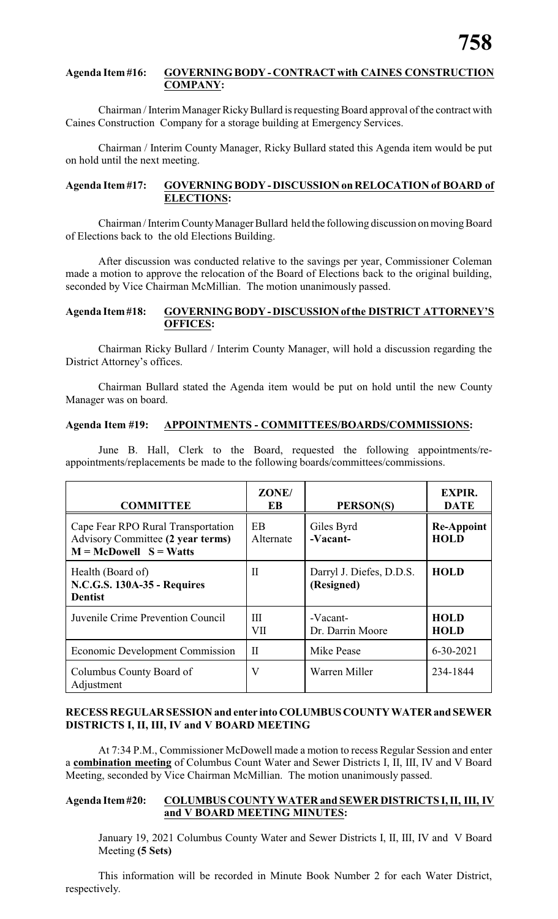#### **Agenda Item #16: GOVERNINGBODY - CONTRACT with CAINES CONSTRUCTION COMPANY:**

Chairman / Interim Manager Ricky Bullard is requesting Board approval of the contract with Caines Construction Company for a storage building at Emergency Services.

Chairman / Interim County Manager, Ricky Bullard stated this Agenda item would be put on hold until the next meeting.

#### **Agenda Item #17: GOVERNINGBODY - DISCUSSION on RELOCATION of BOARD of ELECTIONS:**

Chairman / Interim CountyManager Bullard held the following discussion on movingBoard of Elections back to the old Elections Building.

After discussion was conducted relative to the savings per year, Commissioner Coleman made a motion to approve the relocation of the Board of Elections back to the original building, seconded by Vice Chairman McMillian. The motion unanimously passed.

#### **Agenda Item#18: GOVERNINGBODY - DISCUSSIONofthe DISTRICT ATTORNEY'S OFFICES:**

Chairman Ricky Bullard / Interim County Manager, will hold a discussion regarding the District Attorney's offices.

Chairman Bullard stated the Agenda item would be put on hold until the new County Manager was on board.

#### **Agenda Item #19: APPOINTMENTS - COMMITTEES/BOARDS/COMMISSIONS:**

June B. Hall, Clerk to the Board, requested the following appointments/reappointments/replacements be made to the following boards/committees/commissions.

| <b>COMMITTEE</b>                                                                                    | ZONE/<br>EB      | PERSON(S)                              | <b>EXPIR.</b><br><b>DATE</b>     |
|-----------------------------------------------------------------------------------------------------|------------------|----------------------------------------|----------------------------------|
| Cape Fear RPO Rural Transportation<br>Advisory Committee (2 year terms)<br>$M = McDowell S = Watts$ | EB.<br>Alternate | Giles Byrd<br>-Vacant-                 | <b>Re-Appoint</b><br><b>HOLD</b> |
| Health (Board of)<br><b>N.C.G.S. 130A-35 - Requires</b><br><b>Dentist</b>                           | $\mathbf{I}$     | Darryl J. Diefes, D.D.S.<br>(Resigned) | <b>HOLD</b>                      |
| Juvenile Crime Prevention Council                                                                   | Ш<br>VII         | -Vacant-<br>Dr. Darrin Moore           | <b>HOLD</b><br><b>HOLD</b>       |
| Economic Development Commission                                                                     | Π                | Mike Pease                             | $6 - 30 - 2021$                  |
| Columbus County Board of<br>Adjustment                                                              | V                | Warren Miller                          | 234-1844                         |

#### **RECESS REGULAR SESSION and enter into COLUMBUSCOUNTYWATERand SEWER DISTRICTS I, II, III, IV and V BOARD MEETING**

At 7:34 P.M., Commissioner McDowell made a motion to recess Regular Session and enter a **combination meeting** of Columbus Count Water and Sewer Districts I, II, III, IV and V Board Meeting, seconded by Vice Chairman McMillian. The motion unanimously passed.

#### **Agenda Item#20: COLUMBUS COUNTY WATER and SEWER DISTRICTS I, II, III, IV and V BOARD MEETING MINUTES:**

January 19, 2021 Columbus County Water and Sewer Districts I, II, III, IV and V Board Meeting **(5 Sets)**

This information will be recorded in Minute Book Number 2 for each Water District, respectively.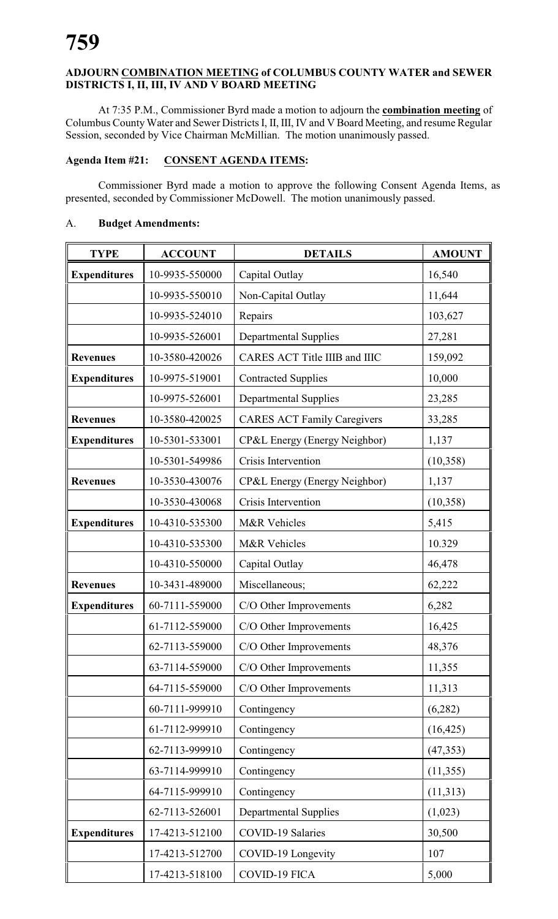### **ADJOURN COMBINATION MEETING of COLUMBUS COUNTY WATER and SEWER DISTRICTS I, II, III, IV AND V BOARD MEETING**

At 7:35 P.M., Commissioner Byrd made a motion to adjourn the **combination meeting** of Columbus CountyWater and Sewer Districts I, II, III, IV and V Board Meeting, and resume Regular Session, seconded by Vice Chairman McMillian. The motion unanimously passed.

#### **Agenda Item #21: CONSENT AGENDA ITEMS:**

Commissioner Byrd made a motion to approve the following Consent Agenda Items, as presented, seconded by Commissioner McDowell. The motion unanimously passed.

#### A. **Budget Amendments:**

| <b>TYPE</b>         | <b>ACCOUNT</b> | <b>DETAILS</b>                     | <b>AMOUNT</b> |
|---------------------|----------------|------------------------------------|---------------|
| <b>Expenditures</b> | 10-9935-550000 | Capital Outlay                     | 16,540        |
|                     | 10-9935-550010 | Non-Capital Outlay                 | 11,644        |
|                     | 10-9935-524010 | Repairs                            | 103,627       |
|                     | 10-9935-526001 | <b>Departmental Supplies</b>       | 27,281        |
| <b>Revenues</b>     | 10-3580-420026 | CARES ACT Title IIIB and IIIC      | 159,092       |
| <b>Expenditures</b> | 10-9975-519001 | <b>Contracted Supplies</b>         | 10,000        |
|                     | 10-9975-526001 | <b>Departmental Supplies</b>       | 23,285        |
| <b>Revenues</b>     | 10-3580-420025 | <b>CARES ACT Family Caregivers</b> | 33,285        |
| <b>Expenditures</b> | 10-5301-533001 | CP&L Energy (Energy Neighbor)      | 1,137         |
|                     | 10-5301-549986 | Crisis Intervention                | (10, 358)     |
| <b>Revenues</b>     | 10-3530-430076 | CP&L Energy (Energy Neighbor)      | 1,137         |
|                     | 10-3530-430068 | Crisis Intervention                | (10, 358)     |
| <b>Expenditures</b> | 10-4310-535300 | M&R Vehicles                       | 5,415         |
|                     | 10-4310-535300 | M&R Vehicles                       | 10.329        |
|                     | 10-4310-550000 | Capital Outlay                     | 46,478        |
| <b>Revenues</b>     | 10-3431-489000 | Miscellaneous;                     | 62,222        |
| <b>Expenditures</b> | 60-7111-559000 | C/O Other Improvements             | 6,282         |
|                     | 61-7112-559000 | C/O Other Improvements             | 16,425        |
|                     | 62-7113-559000 | C/O Other Improvements             | 48,376        |
|                     | 63-7114-559000 | C/O Other Improvements             | 11,355        |
|                     | 64-7115-559000 | C/O Other Improvements             | 11,313        |
|                     | 60-7111-999910 | Contingency                        | (6, 282)      |
|                     | 61-7112-999910 | Contingency                        | (16, 425)     |
|                     | 62-7113-999910 | Contingency                        | (47, 353)     |
|                     | 63-7114-999910 | Contingency                        | (11,355)      |
|                     | 64-7115-999910 | Contingency                        | (11,313)      |
|                     | 62-7113-526001 | <b>Departmental Supplies</b>       | (1,023)       |
| <b>Expenditures</b> | 17-4213-512100 | COVID-19 Salaries                  | 30,500        |
|                     | 17-4213-512700 | COVID-19 Longevity                 | 107           |
|                     | 17-4213-518100 | COVID-19 FICA                      | 5,000         |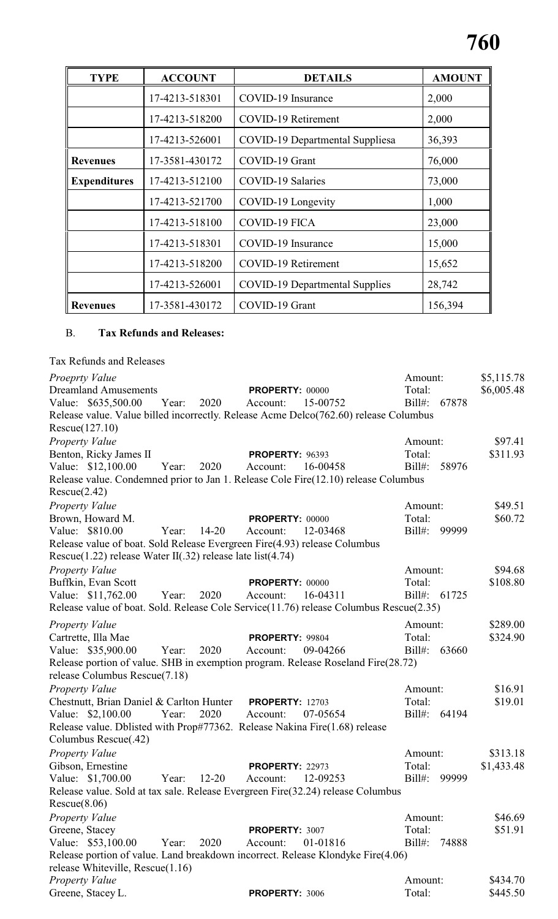| <b>TYPE</b>         | <b>ACCOUNT</b> | <b>DETAILS</b>                         | <b>AMOUNT</b> |
|---------------------|----------------|----------------------------------------|---------------|
|                     | 17-4213-518301 | COVID-19 Insurance                     | 2,000         |
|                     | 17-4213-518200 | COVID-19 Retirement                    | 2,000         |
|                     | 17-4213-526001 | <b>COVID-19 Departmental Suppliesa</b> | 36,393        |
| <b>Revenues</b>     | 17-3581-430172 | COVID-19 Grant                         | 76,000        |
| <b>Expenditures</b> | 17-4213-512100 | <b>COVID-19 Salaries</b>               | 73,000        |
|                     | 17-4213-521700 | COVID-19 Longevity                     | 1,000         |
|                     | 17-4213-518100 | <b>COVID-19 FICA</b>                   | 23,000        |
|                     | 17-4213-518301 | COVID-19 Insurance                     | 15,000        |
|                     | 17-4213-518200 | COVID-19 Retirement                    | 15,652        |
|                     | 17-4213-526001 | <b>COVID-19 Departmental Supplies</b>  | 28,742        |
| <b>Revenues</b>     | 17-3581-430172 | COVID-19 Grant                         | 156,394       |

### B. **Tax Refunds and Releases:**

| Tax Refunds and Releases                                                                              |       |           |                        |          |              |       |            |
|-------------------------------------------------------------------------------------------------------|-------|-----------|------------------------|----------|--------------|-------|------------|
| Proeprty Value                                                                                        |       |           |                        |          | Amount:      |       | \$5,115.78 |
| <b>Dreamland Amusements</b>                                                                           |       |           | <b>PROPERTY: 00000</b> |          | Total:       |       | \$6,005.48 |
| Value: \$635,500.00                                                                                   | Year: | 2020      | Account:               | 15-00752 | Bill#:       | 67878 |            |
| Release value. Value billed incorrectly. Release Acme Delco(762.60) release Columbus                  |       |           |                        |          |              |       |            |
| Rescue(127.10)                                                                                        |       |           |                        |          |              |       |            |
| Property Value                                                                                        |       |           |                        |          | Amount:      |       | \$97.41    |
| Benton, Ricky James II                                                                                |       |           | <b>PROPERTY: 96393</b> |          | Total:       |       | \$311.93   |
| Value: \$12,100.00                                                                                    | Year: | 2020      | Account:               | 16-00458 | $Bill#$ :    | 58976 |            |
| Release value. Condemned prior to Jan 1. Release Cole Fire(12.10) release Columbus                    |       |           |                        |          |              |       |            |
| Rescue(2.42)                                                                                          |       |           |                        |          |              |       |            |
| Property Value                                                                                        |       |           |                        |          | Amount:      |       | \$49.51    |
| Brown, Howard M.                                                                                      |       |           | PROPERTY: 00000        |          | Total:       |       | \$60.72    |
| Value: \$810.00                                                                                       | Year: | $14 - 20$ | Account:               | 12-03468 | $Bill#$ :    | 99999 |            |
| Release value of boat. Sold Release Evergreen Fire(4.93) release Columbus                             |       |           |                        |          |              |       |            |
| Rescue $(1.22)$ release Water II $(0.32)$ release late list $(4.74)$                                  |       |           |                        |          |              |       |            |
| Property Value                                                                                        |       |           |                        |          | Amount:      |       | \$94.68    |
| Buffkin, Evan Scott                                                                                   |       |           | PROPERTY: 00000        |          | Total:       |       | \$108.80   |
| Value: \$11,762.00                                                                                    | Year: | 2020      | Account:               | 16-04311 | Bill#: 61725 |       |            |
| Release value of boat. Sold. Release Cole Service(11.76) release Columbus Rescue(2.35)                |       |           |                        |          |              |       |            |
| Property Value                                                                                        |       |           |                        |          | Amount:      |       | \$289.00   |
| Cartrette, Illa Mae                                                                                   |       |           | PROPERTY: 99804        |          | Total:       |       | \$324.90   |
| Value: \$35,900.00                                                                                    | Year: | 2020      | Account:               | 09-04266 | $Bill#$ :    | 63660 |            |
| Release portion of value. SHB in exemption program. Release Roseland Fire(28.72)                      |       |           |                        |          |              |       |            |
| release Columbus Rescue(7.18)                                                                         |       |           |                        |          |              |       |            |
| Property Value                                                                                        |       |           |                        |          | Amount:      |       | \$16.91    |
| Chestnutt, Brian Daniel & Carlton Hunter                                                              |       |           | <b>PROPERTY: 12703</b> |          | Total:       |       | \$19.01    |
| Value: \$2,100.00                                                                                     | Year: | 2020      | Account:               | 07-05654 | $Bill#$ :    | 64194 |            |
| Release value. Dblisted with Prop#77362. Release Nakina Fire(1.68) release                            |       |           |                        |          |              |       |            |
| Columbus Rescue(.42)                                                                                  |       |           |                        |          |              |       |            |
|                                                                                                       |       |           |                        |          | Amount:      |       | \$313.18   |
| Property Value<br>Gibson, Ernestine                                                                   |       |           |                        |          | Total:       |       | \$1,433.48 |
|                                                                                                       |       | $12 - 20$ | PROPERTY: 22973        | 12-09253 | $Bill#$ :    | 99999 |            |
| Value: \$1,700.00<br>Release value. Sold at tax sale. Release Evergreen Fire (32.24) release Columbus | Year: |           | Account:               |          |              |       |            |
|                                                                                                       |       |           |                        |          |              |       |            |
| Rescue(8.06)                                                                                          |       |           |                        |          |              |       |            |
| Property Value                                                                                        |       |           |                        |          | Amount:      |       | \$46.69    |
| Greene, Stacey                                                                                        |       |           | PROPERTY: 3007         |          | Total:       |       | \$51.91    |
| Value: \$53,100.00                                                                                    | Year: | 2020      | Account:               | 01-01816 | $Bill#$ :    | 74888 |            |
| Release portion of value. Land breakdown incorrect. Release Klondyke Fire(4.06)                       |       |           |                        |          |              |       |            |
| release Whiteville, Rescue(1.16)                                                                      |       |           |                        |          |              |       |            |
| Property Value                                                                                        |       |           |                        |          | Amount:      |       | \$434.70   |
| Greene, Stacey L.                                                                                     |       |           | PROPERTY: 3006         |          | Total:       |       | \$445.50   |
|                                                                                                       |       |           |                        |          |              |       |            |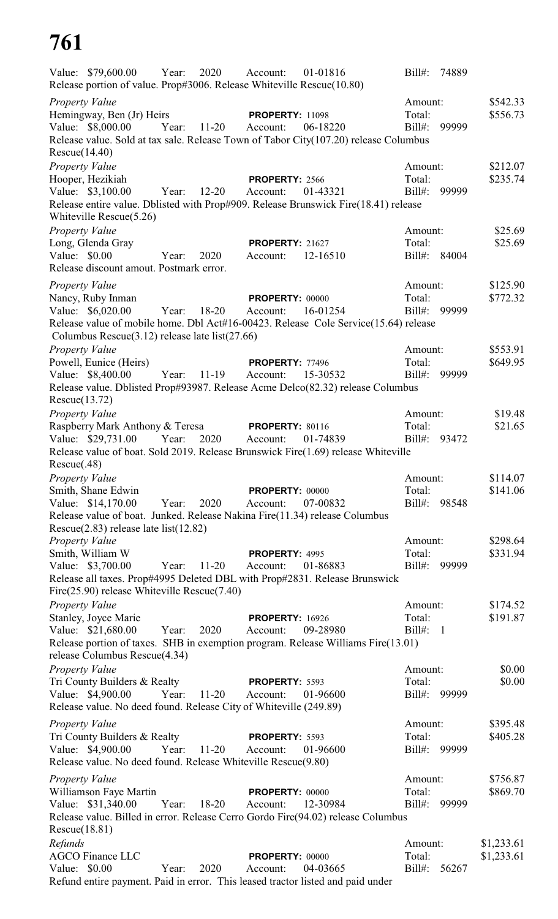# **761**

|                       | Value: \$79,600.00<br>Release portion of value. Prop#3006. Release Whiteville Rescue(10.80) | Year: | 2020      | Account:               | 01-01816                                                                             | $Bill#$ :    | 74889          |            |
|-----------------------|---------------------------------------------------------------------------------------------|-------|-----------|------------------------|--------------------------------------------------------------------------------------|--------------|----------------|------------|
| <b>Property Value</b> |                                                                                             |       |           |                        |                                                                                      | Amount:      |                | \$542.33   |
|                       | Hemingway, Ben (Jr) Heirs                                                                   |       |           | <b>PROPERTY: 11098</b> |                                                                                      | Total:       |                | \$556.73   |
|                       | Value: \$8,000.00                                                                           | Year: | $11-20$   | Account:               | 06-18220                                                                             | Bill#:       | 99999          |            |
|                       |                                                                                             |       |           |                        | Release value. Sold at tax sale. Release Town of Tabor City(107.20) release Columbus |              |                |            |
| Rescue(14.40)         |                                                                                             |       |           |                        |                                                                                      |              |                |            |
| Property Value        |                                                                                             |       |           |                        |                                                                                      | Amount:      |                | \$212.07   |
|                       | Hooper, Hezikiah                                                                            |       |           | PROPERTY: 2566         |                                                                                      | Total:       |                | \$235.74   |
|                       | Value: \$3,100.00                                                                           | Year: | $12 - 20$ | Account:               | 01-43321                                                                             | $Bill#$ :    | 99999          |            |
|                       |                                                                                             |       |           |                        | Release entire value. Dblisted with Prop#909. Release Brunswick Fire(18.41) release  |              |                |            |
|                       | Whiteville Rescue $(5.26)$                                                                  |       |           |                        |                                                                                      |              |                |            |
| Property Value        |                                                                                             |       |           |                        |                                                                                      | Amount:      |                | \$25.69    |
|                       | Long, Glenda Gray                                                                           |       |           | <b>PROPERTY: 21627</b> |                                                                                      | Total:       |                | \$25.69    |
| Value: $$0.00$        |                                                                                             | Year: | 2020      | Account:               | 12-16510                                                                             | Bill#: 84004 |                |            |
|                       | Release discount amout. Postmark error.                                                     |       |           |                        |                                                                                      |              |                |            |
| <b>Property Value</b> |                                                                                             |       |           |                        |                                                                                      | Amount:      |                | \$125.90   |
|                       | Nancy, Ruby Inman                                                                           |       |           | <b>PROPERTY: 00000</b> |                                                                                      | Total:       |                | \$772.32   |
|                       | Value: \$6,020.00                                                                           | Year: | $18 - 20$ | Account:               | 16-01254                                                                             | Bill#: 99999 |                |            |
|                       |                                                                                             |       |           |                        | Release value of mobile home. Dbl Act#16-00423. Release Cole Service(15.64) release  |              |                |            |
|                       | Columbus Rescue $(3.12)$ release late list $(27.66)$                                        |       |           |                        |                                                                                      |              |                |            |
| Property Value        |                                                                                             |       |           |                        |                                                                                      | Amount:      |                | \$553.91   |
|                       | Powell, Eunice (Heirs)                                                                      |       |           | <b>PROPERTY: 77496</b> |                                                                                      | Total:       |                | \$649.95   |
|                       | Value: \$8,400.00                                                                           | Year: | $11-19$   | Account:               | 15-30532                                                                             | $Bill#$ :    | 99999          |            |
|                       |                                                                                             |       |           |                        | Release value. Dblisted Prop#93987. Release Acme Delco(82.32) release Columbus       |              |                |            |
| Rescue(13.72)         |                                                                                             |       |           |                        |                                                                                      |              |                |            |
| Property Value        |                                                                                             |       |           |                        |                                                                                      | Amount:      |                | \$19.48    |
|                       | Raspberry Mark Anthony & Teresa                                                             |       |           | <b>PROPERTY: 80116</b> |                                                                                      | Total:       |                | \$21.65    |
|                       | Value: \$29,731.00                                                                          | Year: | 2020      | Account:               | 01-74839                                                                             | Bill#:       | 93472          |            |
| Rescue(.48)           |                                                                                             |       |           |                        | Release value of boat. Sold 2019. Release Brunswick Fire(1.69) release Whiteville    |              |                |            |
| Property Value        |                                                                                             |       |           |                        |                                                                                      | Amount:      |                | \$114.07   |
|                       | Smith, Shane Edwin                                                                          |       |           | PROPERTY: 00000        |                                                                                      | Total:       |                | \$141.06   |
|                       | Value: \$14,170.00                                                                          | Year: | 2020      | Account:               | 07-00832                                                                             | Bill#: 98548 |                |            |
|                       |                                                                                             |       |           |                        | Release value of boat. Junked. Release Nakina Fire(11.34) release Columbus           |              |                |            |
|                       | Rescue $(2.83)$ release late list $(12.82)$                                                 |       |           |                        |                                                                                      |              |                |            |
| <b>Property Value</b> |                                                                                             |       |           |                        |                                                                                      | Amount:      |                | \$298.64   |
|                       | Smith, William W                                                                            |       |           | PROPERTY: 4995         |                                                                                      | Total:       |                | \$331.94   |
|                       | Value: \$3,700.00                                                                           | Year: | $11 - 20$ | Account:               | 01-86883                                                                             | Bill#:       | 99999          |            |
|                       |                                                                                             |       |           |                        | Release all taxes. Prop#4995 Deleted DBL with Prop#2831. Release Brunswick           |              |                |            |
|                       | Fire(25.90) release Whiteville Rescue(7.40)                                                 |       |           |                        |                                                                                      |              |                |            |
| <b>Property Value</b> |                                                                                             |       |           |                        |                                                                                      | Amount:      |                | \$174.52   |
|                       | Stanley, Joyce Marie                                                                        |       |           | <b>PROPERTY: 16926</b> |                                                                                      | Total:       |                | \$191.87   |
|                       | Value: \$21,680.00                                                                          | Year: | 2020      | Account:               | 09-28980                                                                             | $Bill#$ :    | $\overline{1}$ |            |
|                       |                                                                                             |       |           |                        | Release portion of taxes. SHB in exemption program. Release Williams Fire(13.01)     |              |                |            |
|                       | release Columbus Rescue(4.34)                                                               |       |           |                        |                                                                                      |              |                |            |
| Property Value        |                                                                                             |       |           |                        |                                                                                      | Amount:      |                | \$0.00     |
|                       | Tri County Builders & Realty                                                                |       |           | PROPERTY: 5593         |                                                                                      | Total:       |                | \$0.00     |
|                       | Value: \$4,900.00                                                                           | Year: | $11 - 20$ | Account:               | 01-96600                                                                             | Bill#: 99999 |                |            |
|                       | Release value. No deed found. Release City of Whiteville (249.89)                           |       |           |                        |                                                                                      |              |                |            |
| <b>Property Value</b> |                                                                                             |       |           |                        |                                                                                      | Amount:      |                | \$395.48   |
|                       | Tri County Builders & Realty                                                                |       |           | PROPERTY: 5593         |                                                                                      | Total:       |                | \$405.28   |
|                       | Value: \$4,900.00                                                                           | Year: | $11 - 20$ | Account:               | 01-96600                                                                             | Bill#: 99999 |                |            |
|                       | Release value. No deed found. Release Whiteville Rescue(9.80)                               |       |           |                        |                                                                                      |              |                |            |
| Property Value        |                                                                                             |       |           |                        |                                                                                      | Amount:      |                | \$756.87   |
|                       | Williamson Faye Martin                                                                      |       |           | <b>PROPERTY: 00000</b> |                                                                                      | Total:       |                | \$869.70   |
|                       | Value: \$31,340.00                                                                          | Year: | $18 - 20$ | Account:               | 12-30984                                                                             | Bill#:       | 99999          |            |
|                       |                                                                                             |       |           |                        | Release value. Billed in error. Release Cerro Gordo Fire(94.02) release Columbus     |              |                |            |
| Rescue(18.81)         |                                                                                             |       |           |                        |                                                                                      |              |                |            |
| Refunds               |                                                                                             |       |           |                        |                                                                                      | Amount:      |                | \$1,233.61 |
|                       | <b>AGCO Finance LLC</b>                                                                     |       |           | <b>PROPERTY: 00000</b> |                                                                                      | Total:       |                | \$1,233.61 |
| Value: \$0.00         |                                                                                             | Year: | 2020      | Account:               | 04-03665                                                                             | $Bill#$ :    | 56267          |            |
|                       |                                                                                             |       |           |                        | Refund entire payment. Paid in error. This leased tractor listed and paid under      |              |                |            |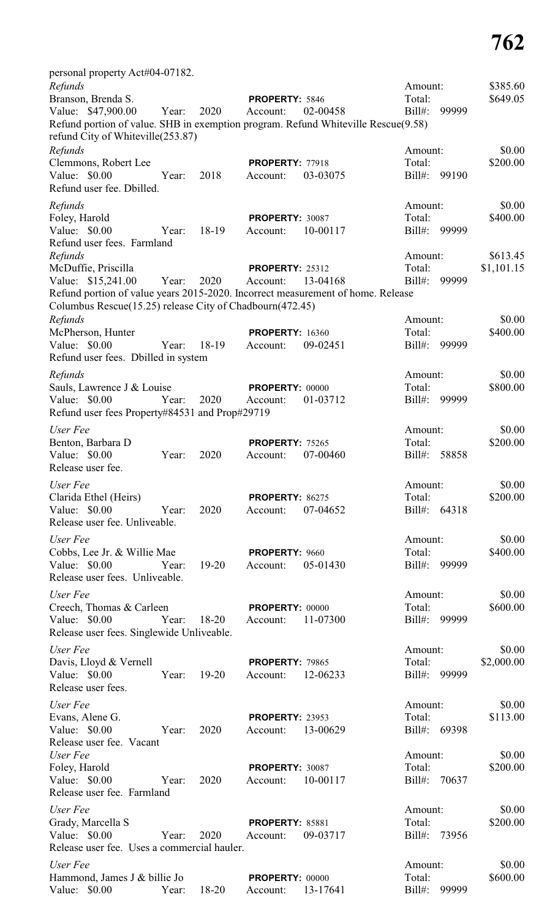| personal property Act#04-07182.                                                                                                             |       |           |                        |          |                   |              |            |
|---------------------------------------------------------------------------------------------------------------------------------------------|-------|-----------|------------------------|----------|-------------------|--------------|------------|
| Refunds                                                                                                                                     |       |           |                        |          | Amount:           |              | \$385.60   |
| Branson, Brenda S.                                                                                                                          |       |           | PROPERTY: 5846         |          | Total:            |              | \$649.05   |
| Value: \$47,900.00                                                                                                                          | Year: | 2020      | Account:               | 02-00458 | $Bill#$ :         | 99999        |            |
| Refund portion of value. SHB in exemption program. Refund Whiteville Rescue(9.58)<br>refund City of Whiteville(253.87)                      |       |           |                        |          |                   |              |            |
|                                                                                                                                             |       |           |                        |          |                   |              | \$0.00     |
| Refunds<br>Clemmons, Robert Lee                                                                                                             |       |           | <b>PROPERTY: 77918</b> |          | Amount:<br>Total: |              | \$200.00   |
| Value: \$0.00                                                                                                                               | Year: | 2018      | Account:               | 03-03075 | $Bill#$ :         | 99190        |            |
| Refund user fee. Dbilled.                                                                                                                   |       |           |                        |          |                   |              |            |
|                                                                                                                                             |       |           |                        |          |                   |              |            |
| Refunds                                                                                                                                     |       |           |                        |          | Amount:           |              | \$0.00     |
| Foley, Harold                                                                                                                               |       |           | PROPERTY: 30087        |          | Total:            |              | \$400.00   |
| Value: \$0.00                                                                                                                               | Year: | 18-19     | Account:               | 10-00117 | $Bill#$ :         | 99999        |            |
| Refund user fees. Farmland                                                                                                                  |       |           |                        |          |                   |              |            |
| Refunds                                                                                                                                     |       |           |                        |          | Amount:           |              | \$613.45   |
| McDuffie, Priscilla                                                                                                                         |       |           | <b>PROPERTY: 25312</b> |          | Total:            |              | \$1,101.15 |
| Value: \$15,241.00                                                                                                                          | Year: | 2020      | Account:               | 13-04168 | $Bill#$ :         | 99999        |            |
| Refund portion of value years 2015-2020. Incorrect measurement of home. Release<br>Columbus Rescue(15.25) release City of Chadbourn(472.45) |       |           |                        |          |                   |              |            |
|                                                                                                                                             |       |           |                        |          | Amount:           |              | \$0.00     |
| Refunds<br>McPherson, Hunter                                                                                                                |       |           | <b>PROPERTY: 16360</b> |          | Total:            |              | \$400.00   |
| Value: \$0.00                                                                                                                               | Year: | 18-19     | Account:               | 09-02451 | Bill#:            | 99999        |            |
| Refund user fees. Dbilled in system                                                                                                         |       |           |                        |          |                   |              |            |
|                                                                                                                                             |       |           |                        |          |                   |              |            |
| Refunds                                                                                                                                     |       |           |                        |          | Amount:           |              | \$0.00     |
| Sauls, Lawrence J & Louise                                                                                                                  |       |           | PROPERTY: 00000        |          | Total:            |              | \$800.00   |
| Value: $$0.00$                                                                                                                              | Year: | 2020      | Account:               | 01-03712 | $Bill#$ :         | 99999        |            |
| Refund user fees Property#84531 and Prop#29719                                                                                              |       |           |                        |          |                   |              |            |
| User Fee                                                                                                                                    |       |           |                        |          | Amount:           |              | \$0.00     |
| Benton, Barbara D                                                                                                                           |       |           | <b>PROPERTY: 75265</b> |          | Total:            |              | \$200.00   |
| Value: \$0.00                                                                                                                               | Year: | 2020      | Account:               | 07-00460 | $Bill#$ :         | 58858        |            |
| Release user fee.                                                                                                                           |       |           |                        |          |                   |              |            |
| User Fee                                                                                                                                    |       |           |                        |          | Amount:           |              | \$0.00     |
| Clarida Ethel (Heirs)                                                                                                                       |       |           | <b>PROPERTY: 86275</b> |          | Total:            |              | \$200.00   |
| Value: \$0.00                                                                                                                               | Year: | 2020      | Account:               | 07-04652 |                   | Bill#: 64318 |            |
| Release user fee. Unliveable.                                                                                                               |       |           |                        |          |                   |              |            |
| User Fee                                                                                                                                    |       |           |                        |          | Amount:           |              | \$0.00     |
| Cobbs, Lee Jr. & Willie Mae                                                                                                                 |       |           | PROPERTY: 9660         |          | Total:            |              | \$400.00   |
| Value: \$0.00                                                                                                                               | Year: | $19-20$   | Account:               | 05-01430 |                   | Bill#: 99999 |            |
| Release user fees. Unliveable.                                                                                                              |       |           |                        |          |                   |              |            |
|                                                                                                                                             |       |           |                        |          |                   |              |            |
| User Fee                                                                                                                                    |       |           |                        |          | Amount:           |              | \$0.00     |
| Creech, Thomas & Carleen                                                                                                                    |       |           | <b>PROPERTY: 00000</b> |          | Total:            |              | \$600.00   |
| Value: \$0.00                                                                                                                               | Year: | 18-20     | Account:               | 11-07300 |                   | Bill#: 99999 |            |
| Release user fees. Singlewide Unliveable.                                                                                                   |       |           |                        |          |                   |              |            |
| User Fee                                                                                                                                    |       |           |                        |          | Amount:           |              | \$0.00     |
| Davis, Lloyd & Vernell                                                                                                                      |       |           | PROPERTY: 79865        |          | Total:            |              | \$2,000.00 |
| Value: \$0.00                                                                                                                               | Year: | $19 - 20$ | Account:               | 12-06233 |                   | Bill#: 99999 |            |
| Release user fees.                                                                                                                          |       |           |                        |          |                   |              |            |
| User Fee                                                                                                                                    |       |           |                        |          | Amount:           |              | \$0.00     |
| Evans, Alene G.                                                                                                                             |       |           | <b>PROPERTY: 23953</b> |          | Total:            |              | \$113.00   |
| Value: \$0.00                                                                                                                               | Year: | 2020      | Account:               | 13-00629 |                   | Bill#: 69398 |            |
| Release user fee. Vacant                                                                                                                    |       |           |                        |          |                   |              |            |
| User Fee                                                                                                                                    |       |           |                        |          | Amount:           |              | \$0.00     |
| Foley, Harold                                                                                                                               |       |           | PROPERTY: 30087        |          | Total:            |              | \$200.00   |
| Value: \$0.00                                                                                                                               | Year: | 2020      | Account:               | 10-00117 |                   | Bill#: 70637 |            |
| Release user fee. Farmland                                                                                                                  |       |           |                        |          |                   |              |            |
| User Fee                                                                                                                                    |       |           |                        |          | Amount:           |              | \$0.00     |
| Grady, Marcella S                                                                                                                           |       |           | <b>PROPERTY: 85881</b> |          | Total:            |              | \$200.00   |
| Value: $$0.00$                                                                                                                              | Year: | 2020      | Account:               | 09-03717 |                   | Bill#: 73956 |            |
| Release user fee. Uses a commercial hauler.                                                                                                 |       |           |                        |          |                   |              |            |
| User Fee                                                                                                                                    |       |           |                        |          |                   |              | \$0.00     |
| Hammond, James J & billie Jo                                                                                                                |       |           | PROPERTY: 00000        |          | Amount:<br>Total: |              | \$600.00   |
| Value: \$0.00                                                                                                                               | Year: | 18-20     | Account:               | 13-17641 | Bill#:            | 99999        |            |
|                                                                                                                                             |       |           |                        |          |                   |              |            |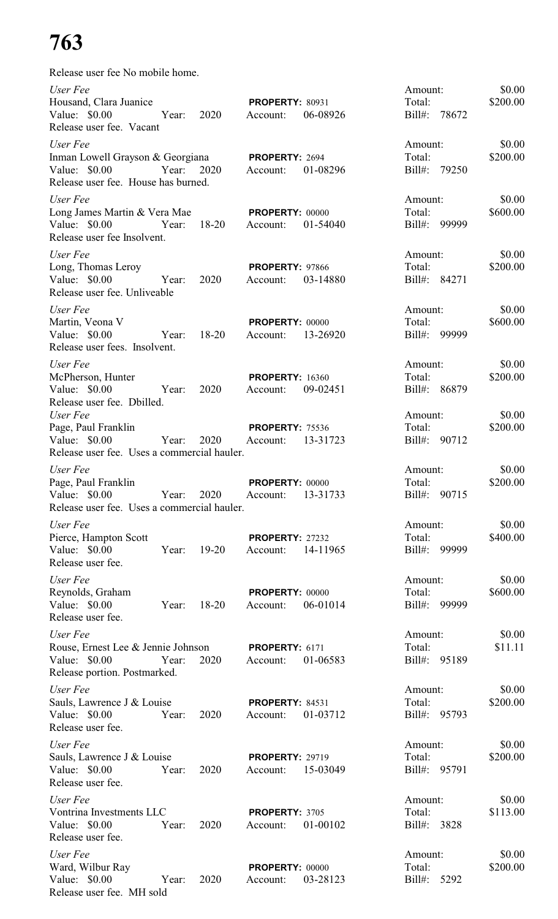# **763**

| Release user fee No mobile home.                                                                     |       |           |                                    |          |                                         |                    |
|------------------------------------------------------------------------------------------------------|-------|-----------|------------------------------------|----------|-----------------------------------------|--------------------|
| User Fee<br>Housand, Clara Juanice<br>Value: \$0.00<br>Release user fee. Vacant                      | Year: | 2020      | <b>PROPERTY: 80931</b><br>Account: | 06-08926 | Amount:<br>Total:<br>$Bill#$ :<br>78672 | \$0.00<br>\$200.00 |
| User Fee<br>Inman Lowell Grayson & Georgiana<br>Value: \$0.00<br>Release user fee. House has burned. | Year: | 2020      | PROPERTY: 2694<br>Account:         | 01-08296 | Amount:<br>Total:<br>Bill#:<br>79250    | \$0.00<br>\$200.00 |
| User Fee<br>Long James Martin & Vera Mae<br>Value: $$0.00$<br>Release user fee Insolvent.            | Year: | $18-20$   | <b>PROPERTY: 00000</b><br>Account: | 01-54040 | Amount:<br>Total:<br>$Bill#$ :<br>99999 | \$0.00<br>\$600.00 |
| User Fee<br>Long, Thomas Leroy<br>Value: \$0.00<br>Release user fee. Unliveable                      | Year: | 2020      | <b>PROPERTY: 97866</b><br>Account: | 03-14880 | Amount:<br>Total:<br>$Bill#$ :<br>84271 | \$0.00<br>\$200.00 |
| User Fee<br>Martin, Veona V<br>Value: $$0.00$<br>Release user fees. Insolvent.                       | Year: | $18 - 20$ | PROPERTY: 00000<br>Account:        | 13-26920 | Amount:<br>Total:<br>$Bill#$ :<br>99999 | \$0.00<br>\$600.00 |
| User Fee<br>McPherson, Hunter<br>Value: \$0.00<br>Release user fee. Dbilled.                         | Year: | 2020      | <b>PROPERTY: 16360</b><br>Account: | 09-02451 | Amount:<br>Total:<br>$Bill#$ :<br>86879 | \$0.00<br>\$200.00 |
| User Fee<br>Page, Paul Franklin<br>Value: $$0.00$<br>Release user fee. Uses a commercial hauler.     | Year: | 2020      | <b>PROPERTY: 75536</b><br>Account: | 13-31723 | Amount:<br>Total:<br>Bill#: 90712       | \$0.00<br>\$200.00 |
| User Fee<br>Page, Paul Franklin<br>Value: \$0.00<br>Release user fee. Uses a commercial hauler.      | Year: | 2020      | PROPERTY: 00000<br>Account:        | 13-31733 | Amount:<br>Total:<br>$Bill#$ :<br>90715 | \$0.00<br>\$200.00 |
| User Fee<br>Pierce, Hampton Scott<br>Value: $$0.00$<br>Release user fee.                             | Year: | $19 - 20$ | <b>PROPERTY: 27232</b><br>Account: | 14-11965 | Amount:<br>Total:<br>$Bill#$ :<br>99999 | \$0.00<br>\$400.00 |
| User Fee<br>Reynolds, Graham<br>Value: $$0.00$<br>Release user fee.                                  | Year: | $18 - 20$ | PROPERTY: 00000<br>Account:        | 06-01014 | Amount:<br>Total:<br>$Bill#$ :<br>99999 | \$0.00<br>\$600.00 |
| User Fee<br>Rouse, Ernest Lee & Jennie Johnson<br>Value: \$0.00<br>Release portion. Postmarked.      | Year: | 2020      | PROPERTY: 6171<br>Account:         | 01-06583 | Amount:<br>Total:<br>Bill#: 95189       | \$0.00<br>\$11.11  |
| User Fee<br>Sauls, Lawrence J & Louise<br>Value: \$0.00<br>Release user fee.                         | Year: | 2020      | <b>PROPERTY: 84531</b><br>Account: | 01-03712 | Amount:<br>Total:<br>Bill#: 95793       | \$0.00<br>\$200.00 |
| User Fee<br>Sauls, Lawrence J & Louise<br>Value: \$0.00<br>Release user fee.                         | Year: | 2020      | <b>PROPERTY: 29719</b><br>Account: | 15-03049 | Amount:<br>Total:<br>Bill#: 95791       | \$0.00<br>\$200.00 |
| User Fee<br>Vontrina Investments LLC<br>Value: \$0.00<br>Release user fee.                           | Year: | 2020      | PROPERTY: 3705<br>Account:         | 01-00102 | Amount:<br>Total:<br>3828<br>$Bill#$ :  | \$0.00<br>\$113.00 |
| User Fee<br>Ward, Wilbur Ray<br>Value: \$0.00<br>Release user fee. MH sold                           | Year: | 2020      | PROPERTY: 00000<br>Account:        | 03-28123 | Amount:<br>Total:<br>Bill#:<br>5292     | \$0.00<br>\$200.00 |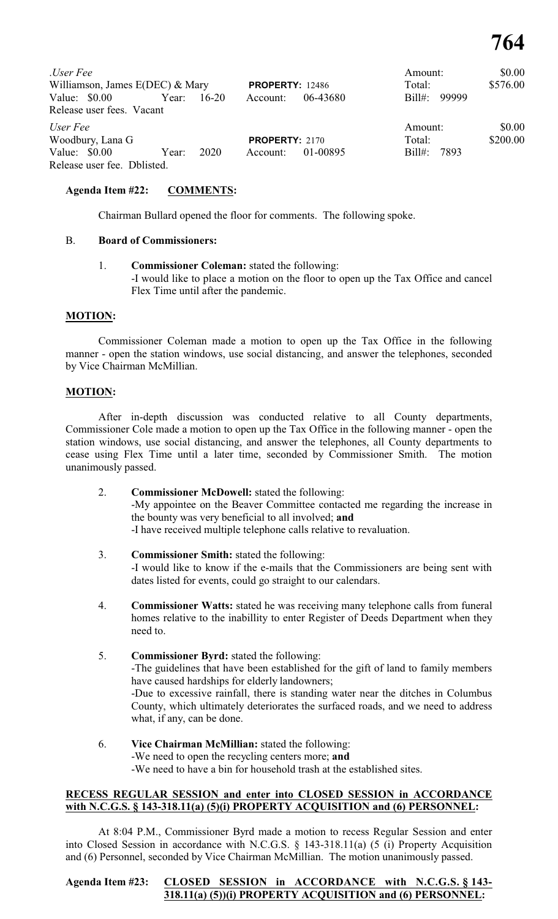| User Fee<br>Williamson, James $E(DEC)$ & Mary |       |           | <b>PROPERTY: 12486</b> |          | Amount:<br>Total: | \$0.00<br>\$576.00 |
|-----------------------------------------------|-------|-----------|------------------------|----------|-------------------|--------------------|
| Value: \$0.00<br>Release user fees. Vacant    | Year: | $16 - 20$ | Account:               | 06-43680 | Bill#: 99999      |                    |
| User Fee<br>Woodbury, Lana G                  |       |           | <b>PROPERTY: 2170</b>  |          | Amount:<br>Total: | \$0.00<br>\$200.00 |
| Value: $$0.00$<br>Release user fee. Dblisted. | Year: | 2020      | Account:               | 01-00895 | $Bill#$ :<br>7893 |                    |

#### **Agenda Item #22: COMMENTS:**

Chairman Bullard opened the floor for comments. The following spoke.

#### B. **Board of Commissioners:**

1. **Commissioner Coleman:** stated the following: -I would like to place a motion on the floor to open up the Tax Office and cancel Flex Time until after the pandemic.

#### **MOTION:**

Commissioner Coleman made a motion to open up the Tax Office in the following manner - open the station windows, use social distancing, and answer the telephones, seconded by Vice Chairman McMillian.

#### **MOTION:**

After in-depth discussion was conducted relative to all County departments, Commissioner Cole made a motion to open up the Tax Office in the following manner - open the station windows, use social distancing, and answer the telephones, all County departments to cease using Flex Time until a later time, seconded by Commissioner Smith. The motion unanimously passed.

- 2. **Commissioner McDowell:** stated the following: -My appointee on the Beaver Committee contacted me regarding the increase in the bounty was very beneficial to all involved; **and** -I have received multiple telephone calls relative to revaluation.
- 3. **Commissioner Smith:** stated the following: -I would like to know if the e-mails that the Commissioners are being sent with dates listed for events, could go straight to our calendars.
- 4. **Commissioner Watts:** stated he was receiving many telephone calls from funeral homes relative to the inabillity to enter Register of Deeds Department when they need to.
- 5. **Commissioner Byrd:** stated the following: -The guidelines that have been established for the gift of land to family members have caused hardships for elderly landowners; -Due to excessive rainfall, there is standing water near the ditches in Columbus County, which ultimately deteriorates the surfaced roads, and we need to address what, if any, can be done.
- 6. **Vice Chairman McMillian:** stated the following: -We need to open the recycling centers more; **and** -We need to have a bin for household trash at the established sites.

#### **RECESS REGULAR SESSION and enter into CLOSED SESSION in ACCORDANCE with N.C.G.S. § 143-318.11(a) (5)(i) PROPERTY ACQUISITION and (6) PERSONNEL:**

At 8:04 P.M., Commissioner Byrd made a motion to recess Regular Session and enter into Closed Session in accordance with N.C.G.S. § 143-318.11(a) (5 (i) Property Acquisition and (6) Personnel, seconded by Vice Chairman McMillian. The motion unanimously passed.

#### **Agenda Item #23: CLOSED SESSION in ACCORDANCE with N.C.G.S. § 143- 318.11(a) (5))(i) PROPERTY ACQUISITION and (6) PERSONNEL:**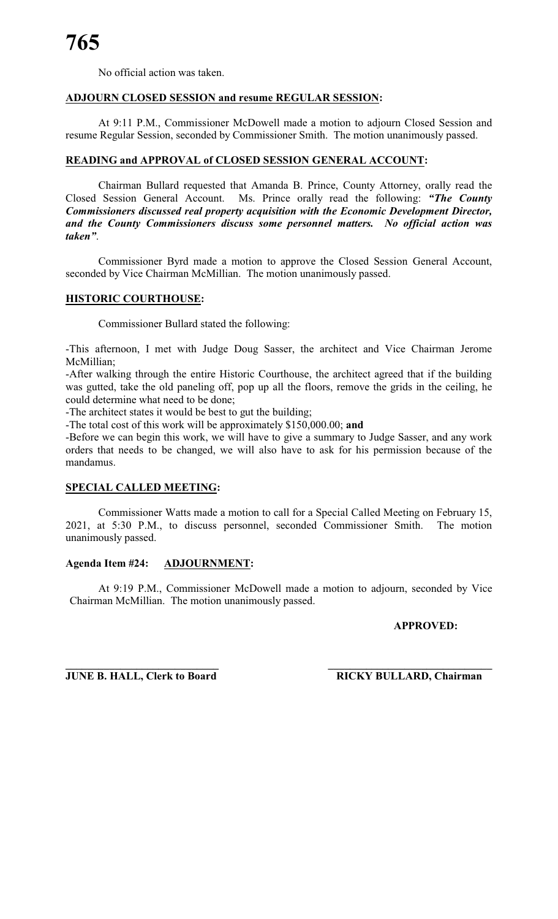No official action was taken.

#### **ADJOURN CLOSED SESSION and resume REGULAR SESSION:**

At 9:11 P.M., Commissioner McDowell made a motion to adjourn Closed Session and resume Regular Session, seconded by Commissioner Smith. The motion unanimously passed.

#### **READING and APPROVAL of CLOSED SESSION GENERAL ACCOUNT:**

Chairman Bullard requested that Amanda B. Prince, County Attorney, orally read the Closed Session General Account. Ms. Prince orally read the following: *"The County Commissioners discussed real property acquisition with the Economic Development Director, and the County Commissioners discuss some personnel matters. No official action was taken"*.

Commissioner Byrd made a motion to approve the Closed Session General Account, seconded by Vice Chairman McMillian. The motion unanimously passed.

#### **HISTORIC COURTHOUSE:**

Commissioner Bullard stated the following:

-This afternoon, I met with Judge Doug Sasser, the architect and Vice Chairman Jerome McMillian;

-After walking through the entire Historic Courthouse, the architect agreed that if the building was gutted, take the old paneling off, pop up all the floors, remove the grids in the ceiling, he could determine what need to be done;

-The architect states it would be best to gut the building;

-The total cost of this work will be approximately \$150,000.00; **and**

-Before we can begin this work, we will have to give a summary to Judge Sasser, and any work orders that needs to be changed, we will also have to ask for his permission because of the mandamus.

### **SPECIAL CALLED MEETING:**

Commissioner Watts made a motion to call for a Special Called Meeting on February 15, 2021, at 5:30 P.M., to discuss personnel, seconded Commissioner Smith. The motion unanimously passed.

#### **Agenda Item #24: ADJOURNMENT:**

At 9:19 P.M., Commissioner McDowell made a motion to adjourn, seconded by Vice Chairman McMillian. The motion unanimously passed.

#### **APPROVED:**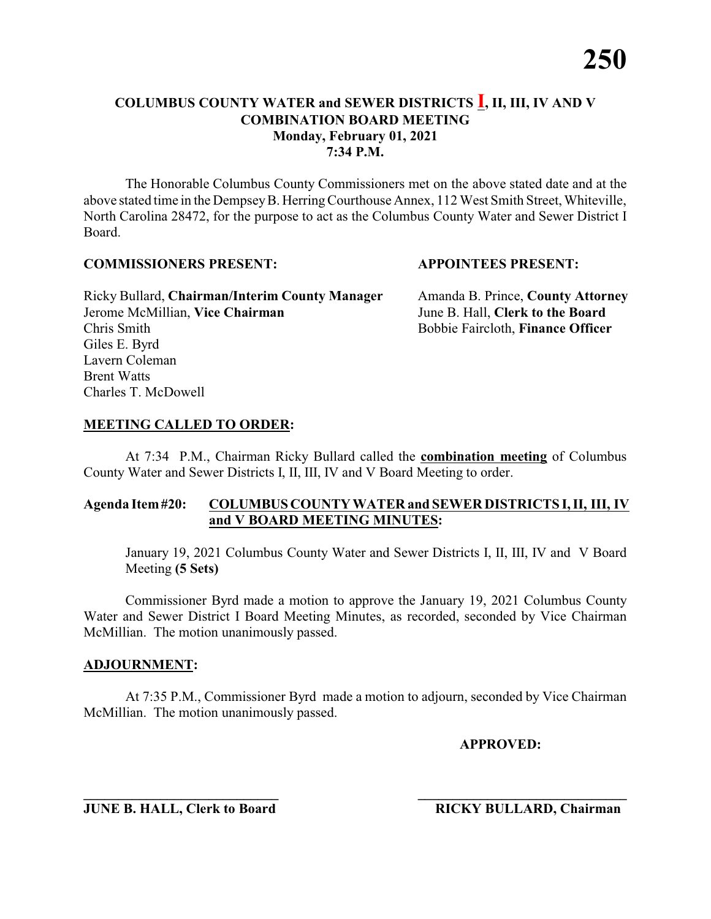The Honorable Columbus County Commissioners met on the above stated date and at the above stated time in the DempseyB. HerringCourthouse Annex, 112 West Smith Street, Whiteville, North Carolina 28472, for the purpose to act as the Columbus County Water and Sewer District I Board.

#### **COMMISSIONERS PRESENT: APPOINTEES PRESENT:**

Ricky Bullard, **Chairman/Interim County Manager** Amanda B. Prince, **County Attorney** Jerome McMillian, **Vice Chairman** June B. Hall, **Clerk to the Board** Chris Smith Bobbie Faircloth, **Finance Officer** Giles E. Byrd Lavern Coleman Brent Watts Charles T. McDowell

#### **MEETING CALLED TO ORDER:**

At 7:34 P.M., Chairman Ricky Bullard called the **combination meeting** of Columbus County Water and Sewer Districts I, II, III, IV and V Board Meeting to order.

#### **Agenda Item#20: COLUMBUS COUNTY WATER and SEWER DISTRICTS I, II, III, IV and V BOARD MEETING MINUTES:**

January 19, 2021 Columbus County Water and Sewer Districts I, II, III, IV and V Board Meeting **(5 Sets)**

Commissioner Byrd made a motion to approve the January 19, 2021 Columbus County Water and Sewer District I Board Meeting Minutes, as recorded, seconded by Vice Chairman McMillian. The motion unanimously passed.

#### **ADJOURNMENT:**

At 7:35 P.M., Commissioner Byrd made a motion to adjourn, seconded by Vice Chairman McMillian. The motion unanimously passed.

**APPROVED:**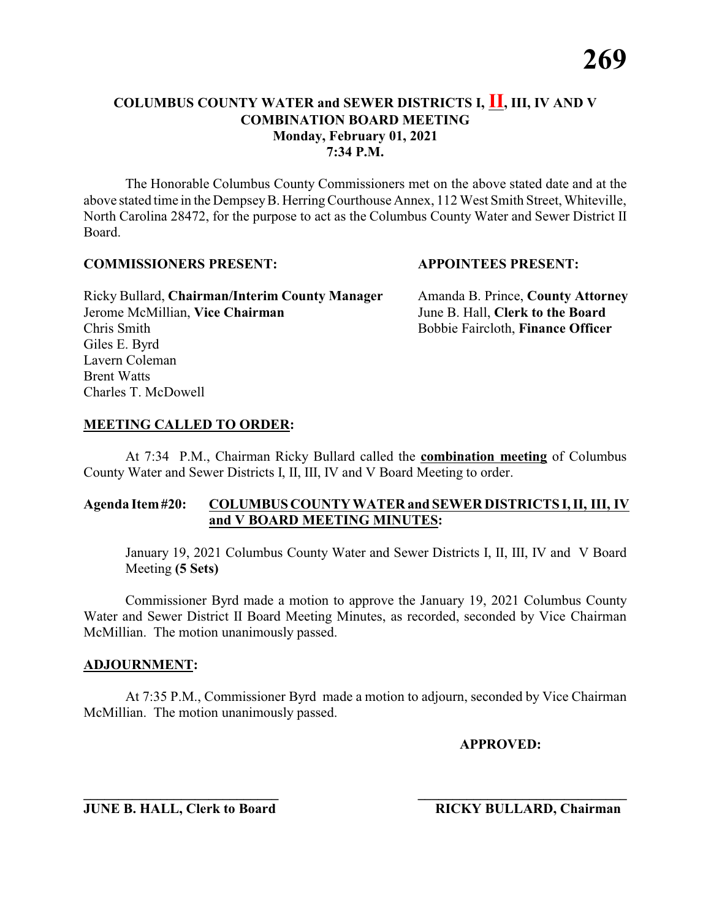The Honorable Columbus County Commissioners met on the above stated date and at the above stated time in the DempseyB. HerringCourthouse Annex, 112 West Smith Street, Whiteville, North Carolina 28472, for the purpose to act as the Columbus County Water and Sewer District II Board.

#### **COMMISSIONERS PRESENT: APPOINTEES PRESENT:**

Ricky Bullard, **Chairman/Interim County Manager** Amanda B. Prince, **County Attorney** Jerome McMillian, **Vice Chairman** June B. Hall, **Clerk to the Board** Chris Smith Bobbie Faircloth, **Finance Officer** Giles E. Byrd Lavern Coleman Brent Watts Charles T. McDowell

#### **MEETING CALLED TO ORDER:**

At 7:34 P.M., Chairman Ricky Bullard called the **combination meeting** of Columbus County Water and Sewer Districts I, II, III, IV and V Board Meeting to order.

#### **Agenda Item#20: COLUMBUS COUNTY WATER and SEWER DISTRICTS I, II, III, IV and V BOARD MEETING MINUTES:**

January 19, 2021 Columbus County Water and Sewer Districts I, II, III, IV and V Board Meeting **(5 Sets)**

Commissioner Byrd made a motion to approve the January 19, 2021 Columbus County Water and Sewer District II Board Meeting Minutes, as recorded, seconded by Vice Chairman McMillian. The motion unanimously passed.

#### **ADJOURNMENT:**

At 7:35 P.M., Commissioner Byrd made a motion to adjourn, seconded by Vice Chairman McMillian. The motion unanimously passed.

**APPROVED:**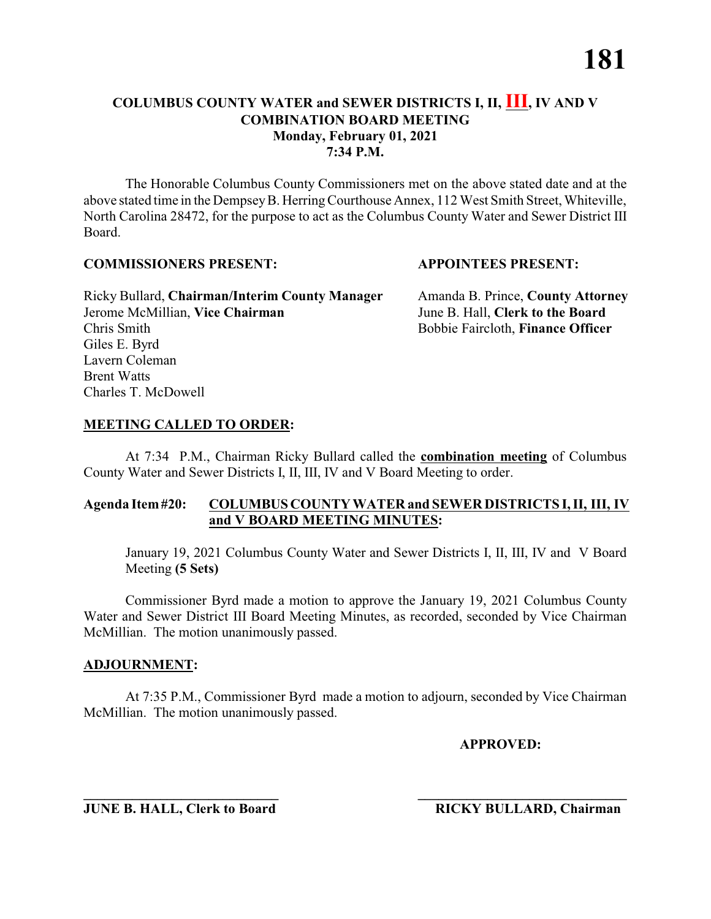The Honorable Columbus County Commissioners met on the above stated date and at the above stated time in the DempseyB. HerringCourthouse Annex, 112 West Smith Street, Whiteville, North Carolina 28472, for the purpose to act as the Columbus County Water and Sewer District III Board.

#### **COMMISSIONERS PRESENT: APPOINTEES PRESENT:**

Ricky Bullard, **Chairman/Interim County Manager** Amanda B. Prince, **County Attorney** Jerome McMillian, **Vice Chairman** June B. Hall, **Clerk to the Board** Chris Smith Bobbie Faircloth, **Finance Officer** Giles E. Byrd Lavern Coleman Brent Watts Charles T. McDowell

#### **MEETING CALLED TO ORDER:**

At 7:34 P.M., Chairman Ricky Bullard called the **combination meeting** of Columbus County Water and Sewer Districts I, II, III, IV and V Board Meeting to order.

#### **Agenda Item#20: COLUMBUS COUNTY WATER and SEWER DISTRICTS I, II, III, IV and V BOARD MEETING MINUTES:**

January 19, 2021 Columbus County Water and Sewer Districts I, II, III, IV and V Board Meeting **(5 Sets)**

Commissioner Byrd made a motion to approve the January 19, 2021 Columbus County Water and Sewer District III Board Meeting Minutes, as recorded, seconded by Vice Chairman McMillian. The motion unanimously passed.

#### **ADJOURNMENT:**

At 7:35 P.M., Commissioner Byrd made a motion to adjourn, seconded by Vice Chairman McMillian. The motion unanimously passed.

**APPROVED:**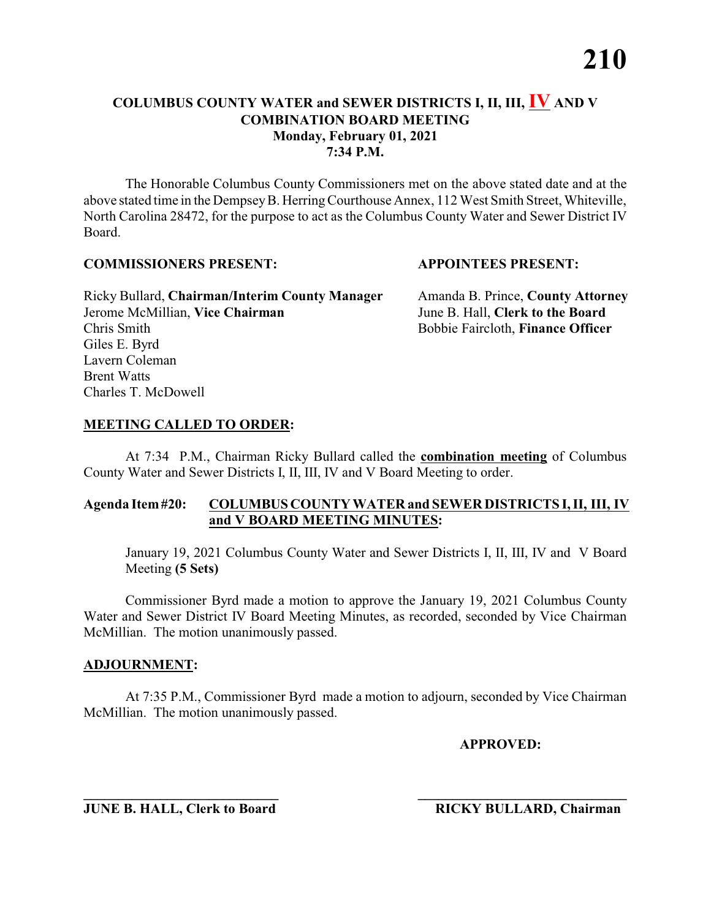The Honorable Columbus County Commissioners met on the above stated date and at the above stated time in the DempseyB. HerringCourthouse Annex, 112 West Smith Street, Whiteville, North Carolina 28472, for the purpose to act as the Columbus County Water and Sewer District IV Board.

#### **COMMISSIONERS PRESENT: APPOINTEES PRESENT:**

Ricky Bullard, **Chairman/Interim County Manager** Amanda B. Prince, **County Attorney** Jerome McMillian, **Vice Chairman** June B. Hall, **Clerk to the Board** Chris Smith Bobbie Faircloth, **Finance Officer** Giles E. Byrd Lavern Coleman Brent Watts Charles T. McDowell

#### **MEETING CALLED TO ORDER:**

At 7:34 P.M., Chairman Ricky Bullard called the **combination meeting** of Columbus County Water and Sewer Districts I, II, III, IV and V Board Meeting to order.

#### **Agenda Item#20: COLUMBUS COUNTY WATER and SEWER DISTRICTS I, II, III, IV and V BOARD MEETING MINUTES:**

January 19, 2021 Columbus County Water and Sewer Districts I, II, III, IV and V Board Meeting **(5 Sets)**

Commissioner Byrd made a motion to approve the January 19, 2021 Columbus County Water and Sewer District IV Board Meeting Minutes, as recorded, seconded by Vice Chairman McMillian. The motion unanimously passed.

#### **ADJOURNMENT:**

At 7:35 P.M., Commissioner Byrd made a motion to adjourn, seconded by Vice Chairman McMillian. The motion unanimously passed.

**APPROVED:**